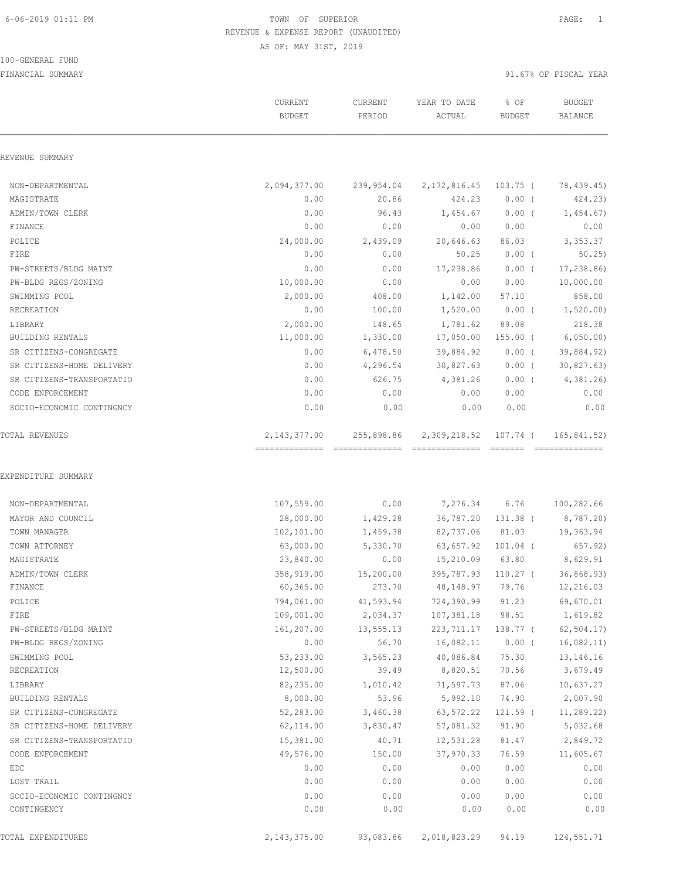#### 100-GENERAL FUND

|                             | <b>CURRENT</b><br><b>BUDGET</b>                   | CURRENT<br>PERIOD | YEAR TO DATE<br>ACTUAL          | % OF<br><b>BUDGET</b> | <b>BUDGET</b><br><b>BALANCE</b> |
|-----------------------------|---------------------------------------------------|-------------------|---------------------------------|-----------------------|---------------------------------|
| REVENUE SUMMARY             |                                                   |                   |                                 |                       |                                 |
| NON-DEPARTMENTAL            | 2,094,377.00                                      | 239,954.04        | 2, 172, 816.45 103.75 (         |                       | 78,439.45)                      |
| MAGISTRATE                  | 0.00                                              | 20.86             | 424.23                          | $0.00$ (              | 424.23)                         |
| ADMIN/TOWN CLERK            | 0.00                                              | 96.43             | 1,454.67                        | $0.00$ (              | 1,454.67                        |
| FINANCE                     | 0.00                                              | 0.00              | 0.00                            | 0.00                  | 0.00                            |
| POLICE                      | 24,000.00                                         | 2,439.09          | 20,646.63                       | 86.03                 | 3,353.37                        |
| FIRE                        | 0.00                                              | 0.00              | 50.25                           | $0.00$ (              | 50.25                           |
| PW-STREETS/BLDG MAINT       | 0.00                                              | 0.00              | 17,238.86                       | $0.00$ (              | 17,238.86)                      |
| PW-BLDG REGS/ZONING         | 10,000.00                                         | 0.00              | 0.00                            | 0.00                  | 10,000.00                       |
| SWIMMING POOL               | 2,000.00                                          | 408.00            | 1,142.00                        | 57.10                 | 858.00                          |
| RECREATION                  | 0.00                                              | 100.00            | 1,520.00                        | $0.00$ (              | 1,520.00                        |
| LIBRARY                     | 2,000.00                                          | 148.65            | 1,781.62                        | 89.08                 | 218.38                          |
| BUILDING RENTALS            | 11,000.00                                         | 1,330.00          | 17,050.00                       | $155.00$ (            | 6,050.00                        |
| SR CITIZENS-CONGREGATE      | 0.00                                              | 6,478.50          | 39,884.92                       | $0.00$ (              | 39,884.92)                      |
| SR CITIZENS-HOME DELIVERY   | 0.00                                              | 4,296.54          | 30,827.63                       | $0.00$ (              | 30,827.63)                      |
| SR CITIZENS-TRANSPORTATIO   | 0.00                                              | 626.75            | 4,381.26                        | $0.00$ (              | 4,381.26                        |
| CODE ENFORCEMENT            | 0.00                                              | 0.00              | 0.00                            | 0.00                  | 0.00                            |
| SOCIO-ECONOMIC CONTINGNCY   | 0.00                                              | 0.00              | 0.00                            | 0.00                  | 0.00                            |
| <b>TOTAL REVENUES</b>       | 2, 143, 377.00<br>=============================== | 255,898.86        | 2,309,218.52<br>=============== | 107.74 (              | 165,841.52)<br>--------------   |
| EXPENDITURE SUMMARY         |                                                   |                   |                                 |                       |                                 |
| NON-DEPARTMENTAL            | 107,559.00                                        | 0.00              | 7,276.34 6.76                   |                       | 100,282.66                      |
| MAYOR AND COUNCIL           | 28,000.00                                         | 1,429.28          |                                 | 36,787.20 131.38 (    | 8,787.20)                       |
| TOWN MANAGER                | 102,101.00                                        | 1,459.38          | 82,737.06 81.03                 |                       | 19,363.94                       |
| TOWN ATTORNEY               | 63,000.00                                         | 5,330.70          | 63,657.92                       | $101.04$ (            | 657.92)                         |
| MAGISTRATE                  | 23,840.00                                         | 0.00              | 15,210.09 63.80                 |                       | 8,629.91                        |
| ADMIN/TOWN CLERK            | 358,919.00                                        | 15,200.00         | 395,787.93                      | $110.27$ (            | 36,868.93)                      |
| FINANCE                     | 60,365.00                                         | 273.70            | 48,148.97                       | 79.76                 | 12,216.03                       |
| POLICE                      | 794,061.00                                        | 41,593.94         | 724,390.99                      | 91.23                 | 69,670.01                       |
| FIRE                        | 109,001.00                                        | 2,034.37          | 107,381.18                      | 98.51                 | 1,619.82                        |
| PW-STREETS/BLDG MAINT       | 161,207.00                                        | 13,555.13         | 223, 711.17                     | 138.77 (              | 62, 504.17                      |
| PW-BLDG REGS/ZONING         | 0.00                                              | 56.70             | 16,082.11                       | $0.00$ (              | 16,082.11)                      |
| SWIMMING POOL               | 53,233.00                                         | 3,565.23          | 40,086.84<br>8,820.51           | 75.30                 | 13,146.16                       |
| RECREATION                  | 12,500.00                                         | 39.49             |                                 | 70.56                 | 3,679.49                        |
| LIBRARY<br>BUILDING RENTALS | 82,235.00<br>8,000.00                             | 1,010.42<br>53.96 | 71,597.73<br>5,992.10           | 87.06<br>74.90        | 10,637.27<br>2,007.90           |
|                             |                                                   |                   |                                 |                       |                                 |
| SR CITIZENS-CONGREGATE      | 52,283.00                                         | 3,460.38          | 63,572.22<br>57,081.32          | $121.59$ (            | 11,289.22)                      |
| SR CITIZENS-HOME DELIVERY   | 62,114.00<br>15,381.00                            | 3,830.47          |                                 | 91.90                 | 5,032.68                        |
| SR CITIZENS-TRANSPORTATIO   |                                                   | 40.71             | 12,531.28                       | 81.47<br>76.59        | 2,849.72<br>11,605.67           |
| CODE ENFORCEMENT            | 49,576.00<br>0.00                                 | 150.00<br>0.00    | 37,970.33<br>0.00               | 0.00                  | 0.00                            |
| EDC<br>LOST TRAIL           | 0.00                                              | 0.00              | 0.00                            | 0.00                  | 0.00                            |
| SOCIO-ECONOMIC CONTINGNCY   | 0.00                                              | 0.00              | 0.00                            | 0.00                  | 0.00                            |
| CONTINGENCY                 | 0.00                                              | 0.00              | 0.00                            | 0.00                  | 0.00                            |
|                             |                                                   |                   |                                 |                       |                                 |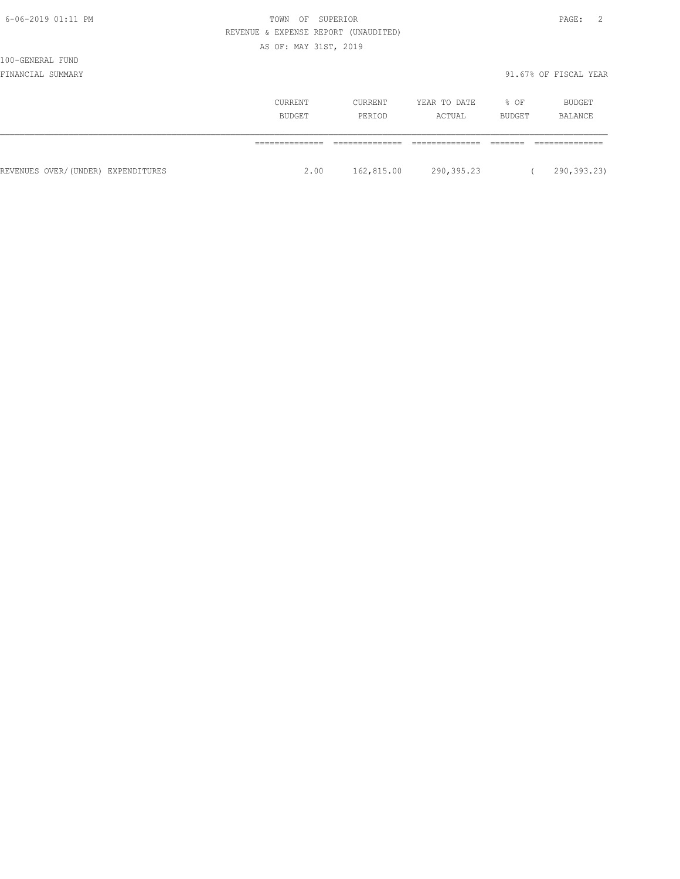| I<br>× |  |
|--------|--|
|--------|--|

# 100-GENERAL FUND

|                                    | CURRENT<br>BUDGET | CURRENT<br>PERIOD | YEAR TO DATE<br>ACTUAL | % OF<br>BUDGET | BUDGET<br>BALANCE |
|------------------------------------|-------------------|-------------------|------------------------|----------------|-------------------|
|                                    |                   |                   |                        |                |                   |
| REVENUES OVER/(UNDER) EXPENDITURES | 2.00              | 162,815.00        | 290,395.23             |                | 290,393.23)       |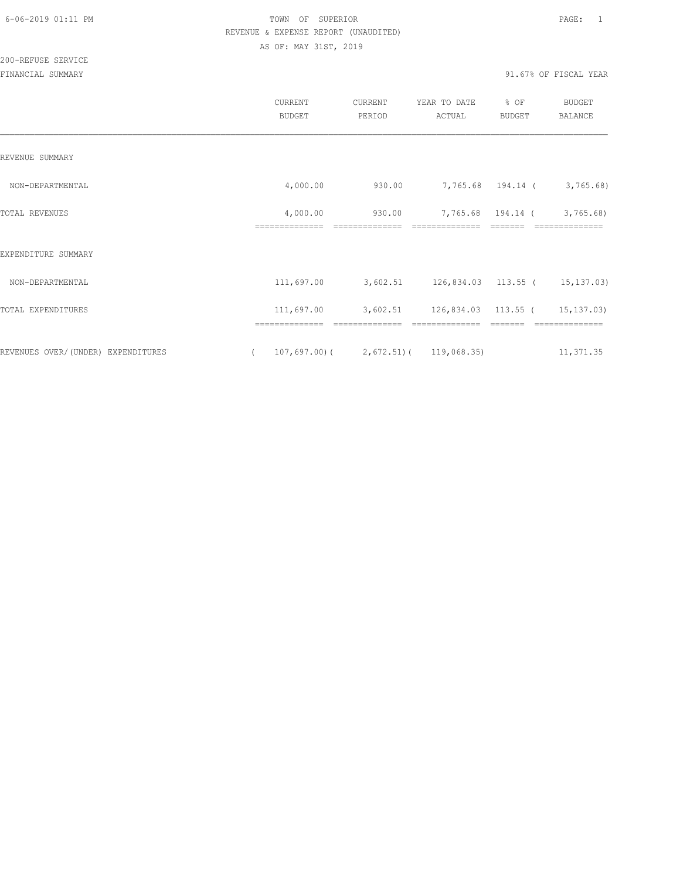|                                    | CURRENT<br><b>BUDGET</b>   | CURRENT<br>PERIOD                                    | YEAR TO DATE<br>ACTUAL                  | % OF<br><b>BUDGET</b> | BUDGET<br>BALANCE           |
|------------------------------------|----------------------------|------------------------------------------------------|-----------------------------------------|-----------------------|-----------------------------|
| REVENUE SUMMARY                    |                            |                                                      |                                         |                       |                             |
| NON-DEPARTMENTAL                   | 4,000.00                   | 930.00                                               |                                         |                       | 7,765.68 194.14 ( 3,765.68) |
| TOTAL REVENUES                     | 4,000.00<br>============== | 930.00                                               |                                         | 7,765.68 194.14 (     | 3,765.68)                   |
| EXPENDITURE SUMMARY                |                            |                                                      |                                         |                       |                             |
| NON-DEPARTMENTAL                   |                            | $111,697.00$ 3,602.51 126,834.03 113.55 ( 15,137.03) |                                         |                       |                             |
| TOTAL EXPENDITURES                 | 111,697.00                 |                                                      | 3,602.51 126,834.03 113.55 ( 15,137.03) |                       |                             |
|                                    |                            |                                                      |                                         |                       |                             |
| REVENUES OVER/(UNDER) EXPENDITURES | $\sqrt{2}$                 | $107,697.00$ ( 2,672.51) ( 119,068.35)               |                                         |                       | 11,371.35                   |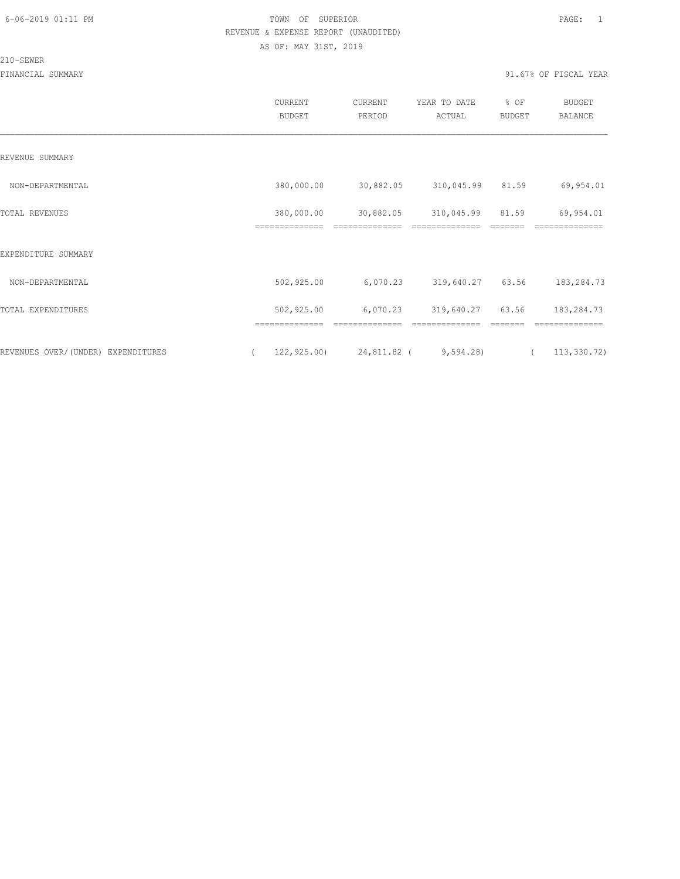#### 210-SEWER

|                                    | CURRENT<br><b>BUDGET</b> | CURRENT<br>PERIOD                      | YEAR TO DATE<br>ACTUAL | % OF<br>BUDGET | BUDGET<br>BALANCE |
|------------------------------------|--------------------------|----------------------------------------|------------------------|----------------|-------------------|
| REVENUE SUMMARY                    |                          |                                        |                        |                |                   |
| NON-DEPARTMENTAL                   | 380,000.00               | 30,882.05                              | 310,045.99 81.59       |                | 69,954.01         |
| TOTAL REVENUES                     | 380,000.00               | 30,882.05                              | 310,045.99             | 81.59          | 69,954.01         |
| EXPENDITURE SUMMARY                |                          |                                        |                        |                |                   |
| NON-DEPARTMENTAL                   | 502,925.00               | 6,070.23                               | 319,640.27 63.56       |                | 183,284.73        |
| TOTAL EXPENDITURES                 | 502,925.00               | 6,070.23                               | 319,640.27             | 63.56          | 183,284.73        |
|                                    |                          |                                        |                        |                |                   |
| REVENUES OVER/(UNDER) EXPENDITURES | $\left($                 | $122, 925.00$ $24, 811.82$ ( 9,594.28) |                        | $\sqrt{2}$     | 113, 330.72)      |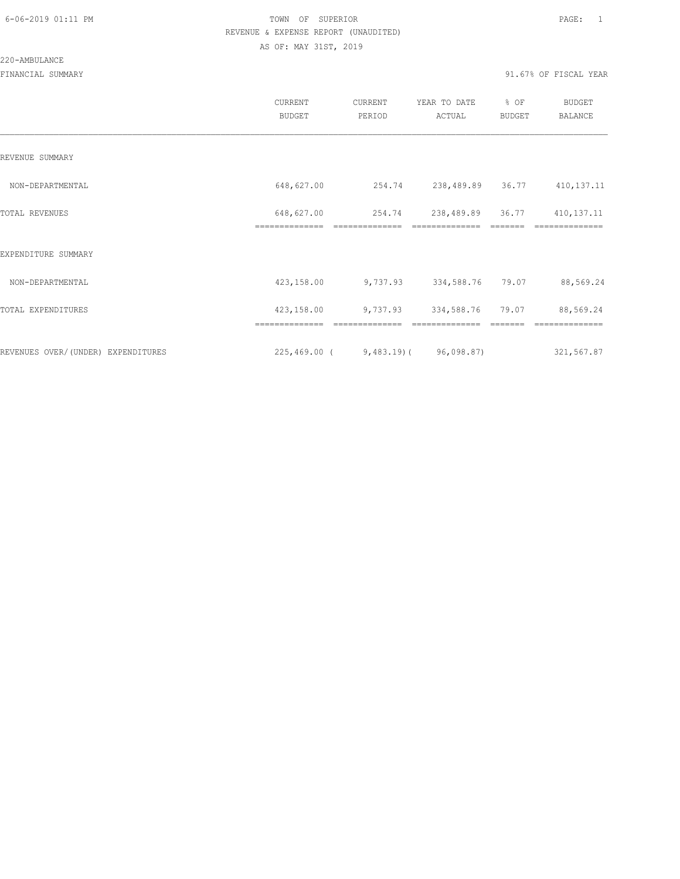#### 220-AMBULANCE

|                                    | CURRENT<br><b>BUDGET</b>     | CURRENT<br>PERIOD                           | YEAR TO DATE<br>ACTUAL | % OF<br><b>BUDGET</b> | <b>BUDGET</b><br><b>BALANCE</b> |
|------------------------------------|------------------------------|---------------------------------------------|------------------------|-----------------------|---------------------------------|
| REVENUE SUMMARY                    |                              |                                             |                        |                       |                                 |
| NON-DEPARTMENTAL                   | 648,627.00                   | 254.74                                      | 238,489.89 36.77       |                       | 410, 137. 11                    |
| TOTAL REVENUES                     | 648,627.00<br>============== | 254.74                                      | 238,489.89             | 36.77                 | 410, 137. 11                    |
| EXPENDITURE SUMMARY                |                              |                                             |                        |                       |                                 |
| NON-DEPARTMENTAL                   | 423,158.00                   | 9,737.93                                    | 334,588.76             | 79.07                 | 88,569.24                       |
| TOTAL EXPENDITURES                 | 423,158.00                   |                                             | 9,737.93 334,588.76    | 79.07                 | 88,569.24                       |
|                                    |                              |                                             |                        |                       |                                 |
| REVENUES OVER/(UNDER) EXPENDITURES |                              | $225,469.00$ ( $9,483.19$ ) ( $96,098.87$ ) |                        |                       | 321,567.87                      |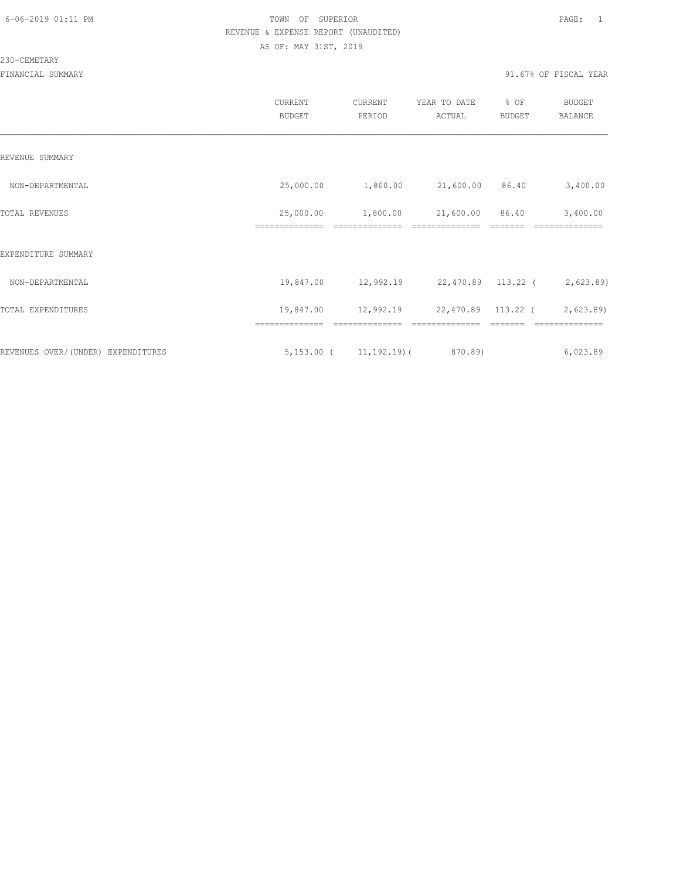#### 230-CEMETARY

|                                     | CURRENT<br><b>BUDGET</b>    | CURRENT<br>PERIOD | YEAR TO DATE<br>ACTUAL                           | % OF<br><b>BUDGET</b> | <b>BUDGET</b><br>BALANCE |
|-------------------------------------|-----------------------------|-------------------|--------------------------------------------------|-----------------------|--------------------------|
| REVENUE SUMMARY                     |                             |                   |                                                  |                       |                          |
| NON-DEPARTMENTAL                    |                             |                   | 25,000.00   1,800.00   21,600.00   86.40         |                       | 3,400.00                 |
| TOTAL REVENUES                      | 25,000.00<br>============== | 1,800.00          | 21,600.00 86.40                                  |                       | 3,400.00                 |
| EXPENDITURE SUMMARY                 |                             |                   |                                                  |                       |                          |
| NON-DEPARTMENTAL                    |                             |                   | 19,847.00 12,992.19 22,470.89 113.22 ( 2,623.89) |                       |                          |
| TOTAL EXPENDITURES                  |                             |                   | 19,847.00 12,992.19 22,470.89 113.22 ( 2,623.89) |                       |                          |
| REVENUES OVER/ (UNDER) EXPENDITURES |                             |                   | $5,153.00$ ( $11,192.19$ ) ( 870.89)             |                       | 6,023.89                 |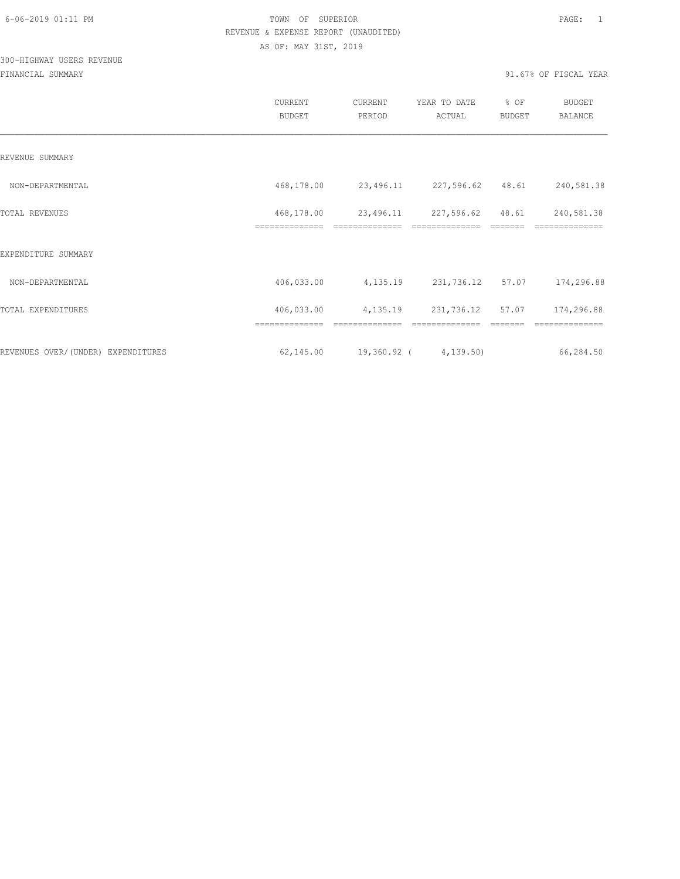# 300-HIGHWAY USERS REVENUE

|                                     | CURRENT<br><b>BUDGET</b>     | CURRENT<br>PERIOD          | YEAR TO DATE<br>ACTUAL | % OF<br><b>BUDGET</b> | <b>BUDGET</b><br><b>BALANCE</b> |
|-------------------------------------|------------------------------|----------------------------|------------------------|-----------------------|---------------------------------|
| REVENUE SUMMARY                     |                              |                            |                        |                       |                                 |
| NON-DEPARTMENTAL                    | 468,178.00                   | 23,496.11                  | 227,596.62 48.61       |                       | 240,581.38                      |
| TOTAL REVENUES                      | 468,178.00<br>============== | 23,496.11                  | 227,596.62             | 48.61                 | 240,581.38                      |
| EXPENDITURE SUMMARY                 |                              |                            |                        |                       |                                 |
| NON-DEPARTMENTAL                    | 406,033.00                   | 4,135.19                   | 231,736.12             | 57.07                 | 174,296.88                      |
| TOTAL EXPENDITURES                  | 406,033.00                   | 4,135.19                   | 231,736.12 57.07       |                       | 174,296.88                      |
|                                     |                              |                            |                        |                       |                                 |
| REVENUES OVER/ (UNDER) EXPENDITURES | 62,145.00                    | $19,360.92$ ( $4,139.50$ ) |                        |                       | 66,284.50                       |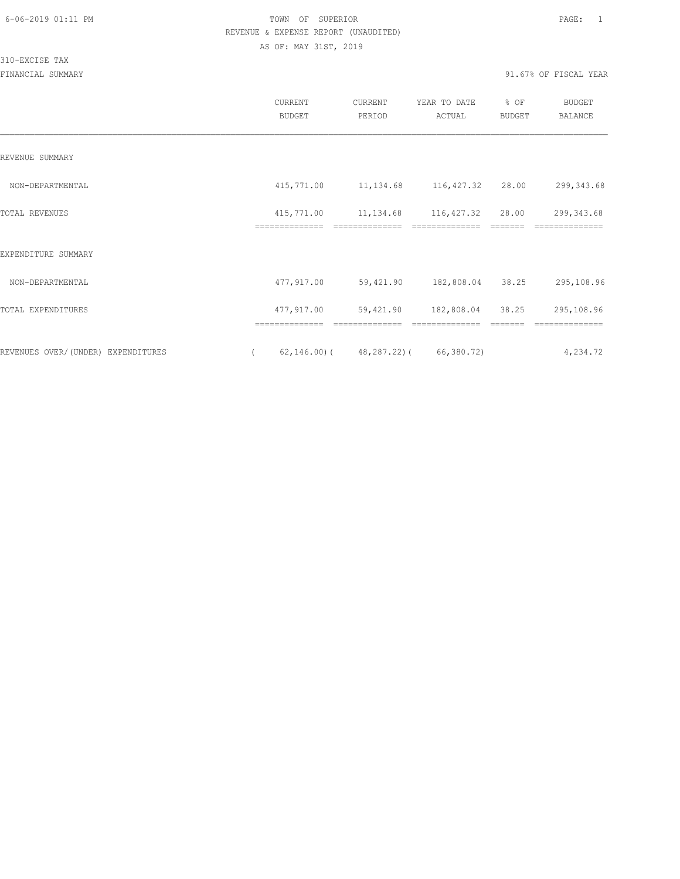310-EXCISE TAX

|                                    | CURRENT<br><b>BUDGET</b>     | CURRENT<br>PERIOD             | YEAR TO DATE<br>ACTUAL | % OF<br>BUDGET | BUDGET<br><b>BALANCE</b> |
|------------------------------------|------------------------------|-------------------------------|------------------------|----------------|--------------------------|
| REVENUE SUMMARY                    |                              |                               |                        |                |                          |
| NON-DEPARTMENTAL                   | 415,771.00                   | 11, 134.68 116, 427.32        |                        | 28.00          | 299, 343.68              |
| TOTAL REVENUES                     | 415,771.00<br>============== |                               | 11, 134.68 116, 427.32 | 28.00          | 299,343.68               |
| EXPENDITURE SUMMARY                |                              |                               |                        |                |                          |
| NON-DEPARTMENTAL                   | 477,917.00                   |                               | 59,421.90 182,808.04   | 38.25          | 295,108.96               |
| TOTAL EXPENDITURES                 | 477,917.00                   | 59,421.90                     | 182,808.04             | 38.25          | 295,108.96               |
| REVENUES OVER/(UNDER) EXPENDITURES | ==============               | $62, 146.00$ ( $48, 287.22$ ( | 66,380.72)             |                | 4,234.72                 |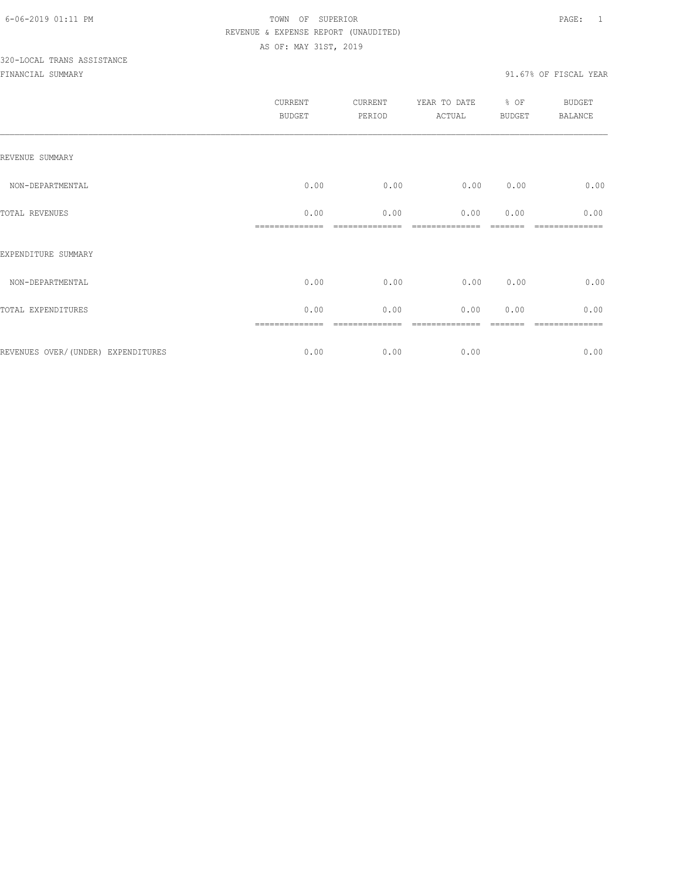# 320-LOCAL TRANS ASSISTANCE

|                                    | CURRENT<br>BUDGET      | <b>CURRENT</b><br>PERIOD | YEAR TO DATE<br>ACTUAL | % OF<br>BUDGET | <b>BUDGET</b><br>BALANCE |
|------------------------------------|------------------------|--------------------------|------------------------|----------------|--------------------------|
| REVENUE SUMMARY                    |                        |                          |                        |                |                          |
| NON-DEPARTMENTAL                   | 0.00                   | 0.00                     | 0.00                   | 0.00           | 0.00                     |
| TOTAL REVENUES                     | 0.00<br>============== | 0.00                     | 0.00<br>-------------- | 0.00           | 0.00<br>------------     |
| EXPENDITURE SUMMARY                |                        |                          |                        |                |                          |
| NON-DEPARTMENTAL                   | 0.00                   | 0.00                     | 0.00                   | 0.00           | 0.00                     |
| TOTAL EXPENDITURES                 | 0.00                   | 0.00                     | 0.00                   | 0.00           | 0.00                     |
| REVENUES OVER/(UNDER) EXPENDITURES | 0.00                   | 0.00                     | 0.00                   |                | 0.00                     |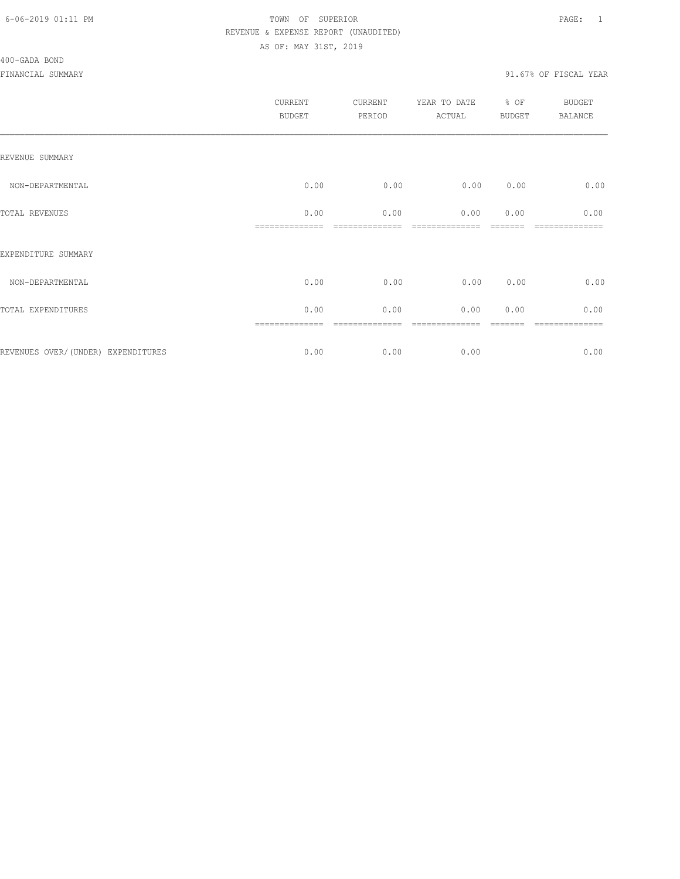| <b>CURRENT</b><br><b>BUDGET</b> | CURRENT<br>PERIOD | YEAR TO DATE<br>ACTUAL | % OF | <b>BUDGET</b><br><b>BALANCE</b> |
|---------------------------------|-------------------|------------------------|------|---------------------------------|
|                                 |                   |                        |      |                                 |
| 0.00                            | 0.00              | 0.00                   | 0.00 | 0.00                            |
| 0.00                            | 0.00              | 0.00                   | 0.00 | 0.00                            |
|                                 |                   |                        |      |                                 |
| 0.00                            | 0.00              | 0.00                   | 0.00 | 0.00                            |
| 0.00                            | 0.00              | 0.00                   | 0.00 | 0.00                            |
| 0.00                            | 0.00              | 0.00                   |      | ========<br>0.00                |
|                                 |                   |                        |      | <b>BUDGET</b>                   |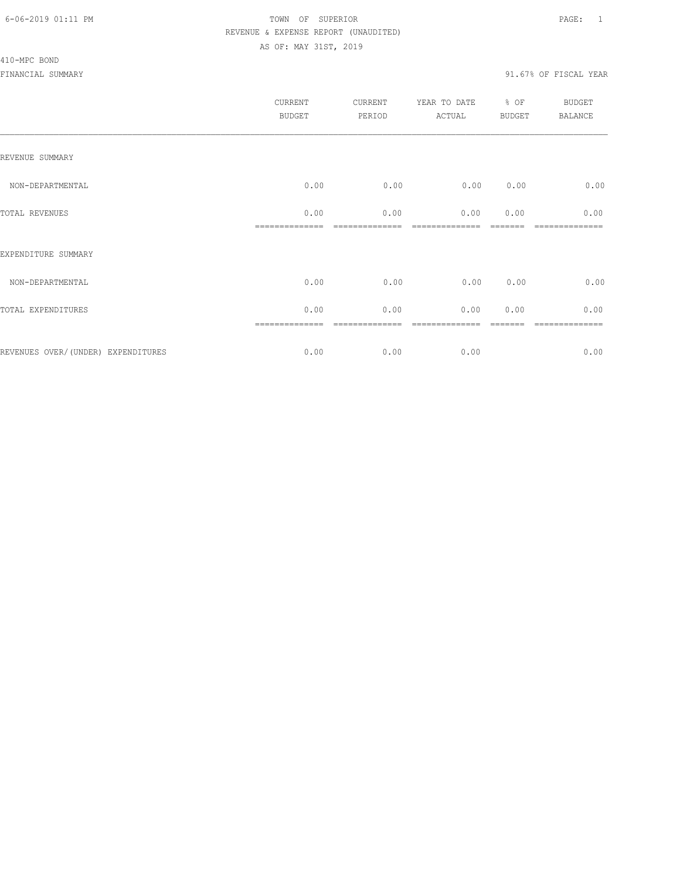#### 410-MPC BOND

| CURRENT<br><b>BUDGET</b> | CURRENT<br>PERIOD | YEAR TO DATE<br>ACTUAL | BUDGET | <b>BUDGET</b><br>BALANCE |
|--------------------------|-------------------|------------------------|--------|--------------------------|
|                          |                   |                        |        |                          |
| 0.00                     | 0.00              | 0.00                   | 0.00   | 0.00                     |
| 0.00                     | 0.00              | 0.00                   | 0.00   | 0.00                     |
|                          |                   |                        |        |                          |
| 0.00                     | 0.00              | 0.00                   | 0.00   | 0.00                     |
| 0.00                     | 0.00              | 0.00                   | 0.00   | 0.00                     |
| 0.00                     | 0.00              | 0.00                   |        | -----------<br>0.00      |
|                          | ==============    |                        |        | % OF                     |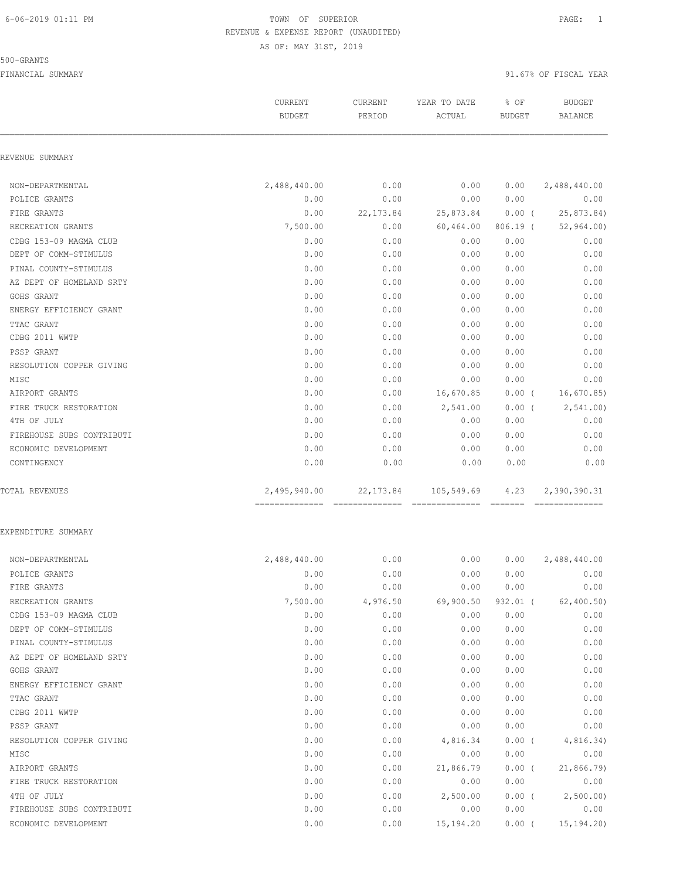#### 500-GRANTS

FINANCIAL SUMMARY 91.67% OF FISCAL YEAR

CURRENT CURRENT YEAR TO DATE % OF BUDGET

|                           | <b>BUDGET</b>                                   | PERIOD     | ACTUAL                        | <b>BUDGET</b>                                                                                                                                                                                                                                                                                                                                                                                                                                                                                  | <b>BALANCE</b>                 |
|---------------------------|-------------------------------------------------|------------|-------------------------------|------------------------------------------------------------------------------------------------------------------------------------------------------------------------------------------------------------------------------------------------------------------------------------------------------------------------------------------------------------------------------------------------------------------------------------------------------------------------------------------------|--------------------------------|
| REVENUE SUMMARY           |                                                 |            |                               |                                                                                                                                                                                                                                                                                                                                                                                                                                                                                                |                                |
| NON-DEPARTMENTAL          | 2,488,440.00                                    | 0.00       | 0.00                          | 0.00                                                                                                                                                                                                                                                                                                                                                                                                                                                                                           | 2,488,440.00                   |
| POLICE GRANTS             | 0.00                                            | 0.00       | 0.00                          | 0.00                                                                                                                                                                                                                                                                                                                                                                                                                                                                                           | 0.00                           |
| FIRE GRANTS               | 0.00                                            | 22, 173.84 | 25,873.84                     | $0.00$ (                                                                                                                                                                                                                                                                                                                                                                                                                                                                                       | 25,873.84)                     |
| RECREATION GRANTS         | 7,500.00                                        | 0.00       | 60,464.00                     | $806.19$ (                                                                                                                                                                                                                                                                                                                                                                                                                                                                                     | 52,964.00                      |
| CDBG 153-09 MAGMA CLUB    | 0.00                                            | 0.00       | 0.00                          | 0.00                                                                                                                                                                                                                                                                                                                                                                                                                                                                                           | 0.00                           |
| DEPT OF COMM-STIMULUS     | 0.00                                            | 0.00       | 0.00                          | 0.00                                                                                                                                                                                                                                                                                                                                                                                                                                                                                           | 0.00                           |
| PINAL COUNTY-STIMULUS     | 0.00                                            | 0.00       | 0.00                          | 0.00                                                                                                                                                                                                                                                                                                                                                                                                                                                                                           | 0.00                           |
| AZ DEPT OF HOMELAND SRTY  | 0.00                                            | 0.00       | 0.00                          | 0.00                                                                                                                                                                                                                                                                                                                                                                                                                                                                                           | 0.00                           |
| GOHS GRANT                | 0.00                                            | 0.00       | 0.00                          | 0.00                                                                                                                                                                                                                                                                                                                                                                                                                                                                                           | 0.00                           |
| ENERGY EFFICIENCY GRANT   | 0.00                                            | 0.00       | 0.00                          | 0.00                                                                                                                                                                                                                                                                                                                                                                                                                                                                                           | 0.00                           |
| TTAC GRANT                | 0.00                                            | 0.00       | 0.00                          | 0.00                                                                                                                                                                                                                                                                                                                                                                                                                                                                                           | 0.00                           |
| CDBG 2011 WWTP            | 0.00                                            | 0.00       | 0.00                          | 0.00                                                                                                                                                                                                                                                                                                                                                                                                                                                                                           | 0.00                           |
| PSSP GRANT                | 0.00                                            | 0.00       | 0.00                          | 0.00                                                                                                                                                                                                                                                                                                                                                                                                                                                                                           | 0.00                           |
| RESOLUTION COPPER GIVING  | 0.00                                            | 0.00       | 0.00                          | 0.00                                                                                                                                                                                                                                                                                                                                                                                                                                                                                           | 0.00                           |
| MISC                      | 0.00                                            | 0.00       | 0.00                          | 0.00                                                                                                                                                                                                                                                                                                                                                                                                                                                                                           | 0.00                           |
| AIRPORT GRANTS            | 0.00                                            | 0.00       | 16,670.85                     | $0.00$ (                                                                                                                                                                                                                                                                                                                                                                                                                                                                                       | 16,670.85)                     |
| FIRE TRUCK RESTORATION    | 0.00                                            | 0.00       | 2,541.00                      | $0.00$ (                                                                                                                                                                                                                                                                                                                                                                                                                                                                                       | 2,541.00                       |
| 4TH OF JULY               | 0.00                                            | 0.00       | 0.00                          | 0.00                                                                                                                                                                                                                                                                                                                                                                                                                                                                                           | 0.00                           |
| FIREHOUSE SUBS CONTRIBUTI | 0.00                                            | 0.00       | 0.00                          | 0.00                                                                                                                                                                                                                                                                                                                                                                                                                                                                                           | 0.00                           |
| ECONOMIC DEVELOPMENT      | 0.00                                            | 0.00       | 0.00                          | 0.00                                                                                                                                                                                                                                                                                                                                                                                                                                                                                           | 0.00                           |
| CONTINGENCY               | 0.00                                            | 0.00       | 0.00                          | 0.00                                                                                                                                                                                                                                                                                                                                                                                                                                                                                           | 0.00                           |
| <b>TOTAL REVENUES</b>     | 2,495,940.00<br>=============================== | 22, 173.84 | 105,549.69<br>--------------- | 4.23<br>$\begin{array}{cccccccccc} \multicolumn{2}{c}{} & \multicolumn{2}{c}{} & \multicolumn{2}{c}{} & \multicolumn{2}{c}{} & \multicolumn{2}{c}{} & \multicolumn{2}{c}{} & \multicolumn{2}{c}{} & \multicolumn{2}{c}{} & \multicolumn{2}{c}{} & \multicolumn{2}{c}{} & \multicolumn{2}{c}{} & \multicolumn{2}{c}{} & \multicolumn{2}{c}{} & \multicolumn{2}{c}{} & \multicolumn{2}{c}{} & \multicolumn{2}{c}{} & \multicolumn{2}{c}{} & \multicolumn{2}{c}{} & \multicolumn{2}{c}{} & \mult$ | 2,390,390.31<br>-------------- |
| EXPENDITURE SUMMARY       |                                                 |            |                               |                                                                                                                                                                                                                                                                                                                                                                                                                                                                                                |                                |
| NON-DEPARTMENTAL          | 2,488,440.00                                    | 0.00       | 0.00                          | 0.00                                                                                                                                                                                                                                                                                                                                                                                                                                                                                           | 2,488,440.00                   |
| POLICE GRANTS             | 0.00                                            | 0.00       | 0.00                          | 0.00                                                                                                                                                                                                                                                                                                                                                                                                                                                                                           | 0.00                           |
| FIRE GRANTS               | 0.00                                            | 0.00       | 0.00                          | 0.00                                                                                                                                                                                                                                                                                                                                                                                                                                                                                           | 0.00                           |
| RECREATION GRANTS         | 7,500.00                                        | 4,976.50   | 69,900.50                     | $932.01$ (                                                                                                                                                                                                                                                                                                                                                                                                                                                                                     | 62, 400.50                     |
| CDBG 153-09 MAGMA CLUB    | 0.00                                            | 0.00       | 0.00                          | 0.00                                                                                                                                                                                                                                                                                                                                                                                                                                                                                           | 0.00                           |
| DEPT OF COMM-STIMULUS     | 0.00                                            | 0.00       | 0.00                          | 0.00                                                                                                                                                                                                                                                                                                                                                                                                                                                                                           | 0.00                           |
| PINAL COUNTY-STIMULUS     | 0.00                                            | 0.00       | 0.00                          | 0.00                                                                                                                                                                                                                                                                                                                                                                                                                                                                                           | 0.00                           |
| AZ DEPT OF HOMELAND SRTY  | 0.00                                            | 0.00       | 0.00                          | 0.00                                                                                                                                                                                                                                                                                                                                                                                                                                                                                           | 0.00                           |
| GOHS GRANT                | 0.00                                            | 0.00       | 0.00                          | 0.00                                                                                                                                                                                                                                                                                                                                                                                                                                                                                           | 0.00                           |
| ENERGY EFFICIENCY GRANT   | 0.00                                            | 0.00       | 0.00                          | 0.00                                                                                                                                                                                                                                                                                                                                                                                                                                                                                           | 0.00                           |
| TTAC GRANT                | 0.00                                            | 0.00       | 0.00                          | 0.00                                                                                                                                                                                                                                                                                                                                                                                                                                                                                           | 0.00                           |
| CDBG 2011 WWTP            | 0.00                                            | 0.00       | 0.00                          | 0.00                                                                                                                                                                                                                                                                                                                                                                                                                                                                                           | 0.00                           |
| PSSP GRANT                | 0.00                                            | 0.00       | 0.00                          | 0.00                                                                                                                                                                                                                                                                                                                                                                                                                                                                                           | 0.00                           |
| RESOLUTION COPPER GIVING  | 0.00                                            | 0.00       | 4,816.34                      | $0.00$ (                                                                                                                                                                                                                                                                                                                                                                                                                                                                                       | 4,816.34)                      |
| MISC                      | 0.00                                            | 0.00       | 0.00                          | 0.00                                                                                                                                                                                                                                                                                                                                                                                                                                                                                           | 0.00                           |
| AIRPORT GRANTS            | 0.00                                            | 0.00       | 21,866.79                     | $0.00$ (                                                                                                                                                                                                                                                                                                                                                                                                                                                                                       | 21,866.79                      |
| FIRE TRUCK RESTORATION    | 0.00                                            | 0.00       | 0.00                          | 0.00                                                                                                                                                                                                                                                                                                                                                                                                                                                                                           | 0.00                           |
| 4TH OF JULY               | 0.00                                            | 0.00       | 2,500.00                      | $0.00$ (                                                                                                                                                                                                                                                                                                                                                                                                                                                                                       | 2,500.00                       |
| FIREHOUSE SUBS CONTRIBUTI | 0.00                                            | 0.00       | 0.00                          | 0.00                                                                                                                                                                                                                                                                                                                                                                                                                                                                                           | 0.00                           |
| ECONOMIC DEVELOPMENT      | 0.00                                            | 0.00       | 15, 194. 20                   | $0.00$ (                                                                                                                                                                                                                                                                                                                                                                                                                                                                                       | 15, 194.20                     |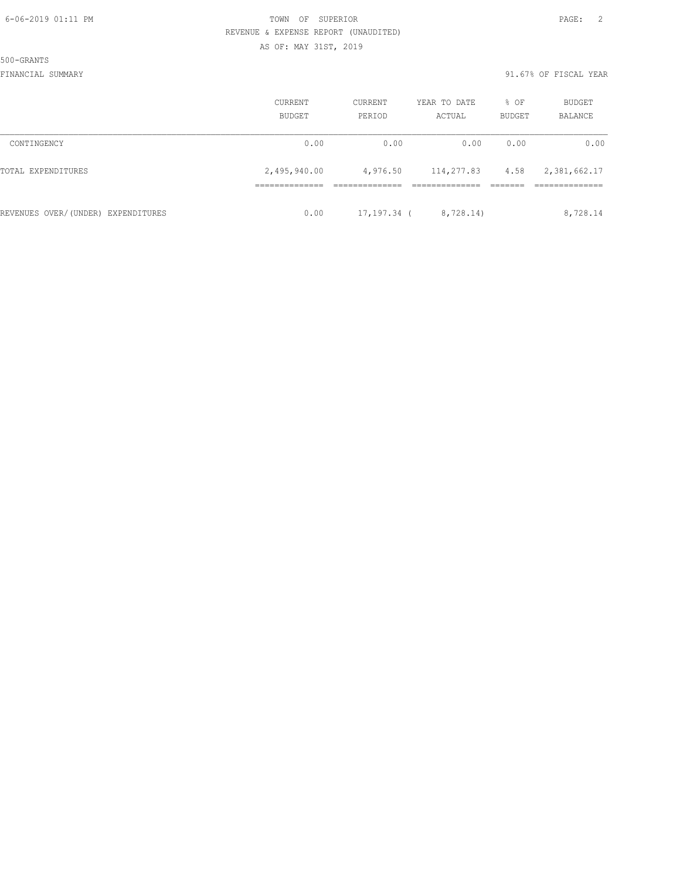500-GRANTS

|                                    | CURRENT<br>BUDGET | CURRENT<br>PERIOD | YEAR TO DATE<br>ACTUAL | % OF<br><b>BUDGET</b> | BUDGET<br><b>BALANCE</b> |
|------------------------------------|-------------------|-------------------|------------------------|-----------------------|--------------------------|
| CONTINGENCY                        | 0.00              | 0.00              | 0.00                   | 0.00                  | 0.00                     |
| TOTAL EXPENDITURES                 | 2,495,940.00      | 4,976.50          | 114,277.83             | 4.58                  | 2,381,662.17             |
|                                    |                   |                   |                        |                       |                          |
| REVENUES OVER/(UNDER) EXPENDITURES | 0.00              | 17,197.34 (       | 8,728.14)              |                       | 8,728.14                 |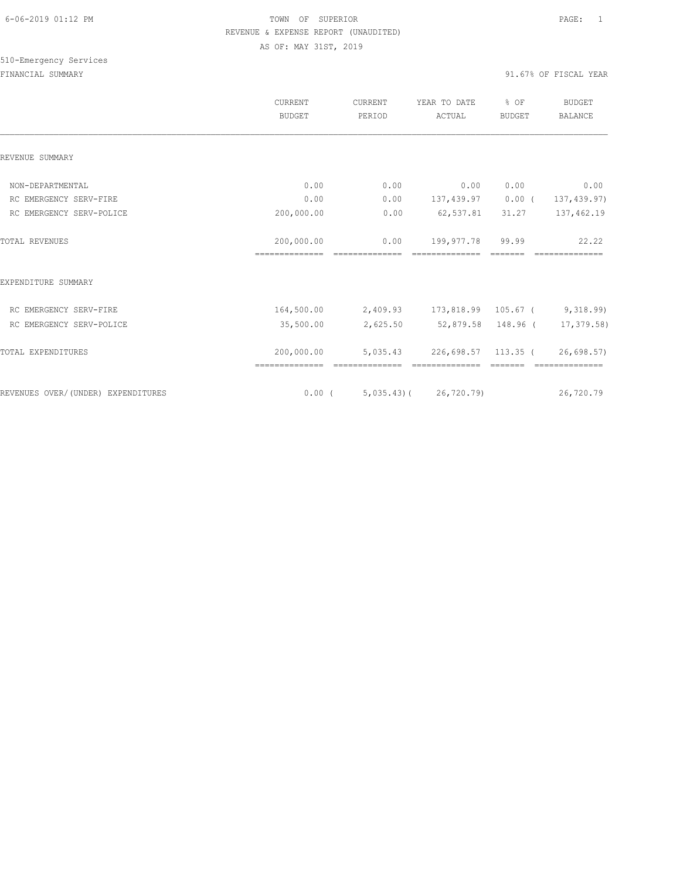# 510-Emergency Services

|                                    | <b>CURRENT</b><br><b>BUDGET</b> | <b>CURRENT</b><br>PERIOD | YEAR TO DATE<br>ACTUAL                 | % OF<br><b>BUDGET</b> | <b>BUDGET</b><br><b>BALANCE</b> |
|------------------------------------|---------------------------------|--------------------------|----------------------------------------|-----------------------|---------------------------------|
| REVENUE SUMMARY                    |                                 |                          |                                        |                       |                                 |
| NON-DEPARTMENTAL                   | 0.00                            | 0.00                     | 0.00                                   | 0.00                  | 0.00                            |
| RC EMERGENCY SERV-FIRE             | 0.00                            | 0.00                     | 137,439.97                             | $0.00$ (              | 137, 439.97)                    |
| RC EMERGENCY SERV-POLICE           | 200,000.00                      | 0.00                     | 62,537.81                              | 31.27                 | 137,462.19                      |
| <b>TOTAL REVENUES</b>              | 200,000.00<br>==============    | 0.00                     | 199,977.78                             | 99.99                 | 22.22                           |
| EXPENDITURE SUMMARY                |                                 |                          |                                        |                       |                                 |
| RC EMERGENCY SERV-FIRE             | 164,500.00                      |                          | 2,409.93 173,818.99 105.67 ( 9,318.99) |                       |                                 |
| RC EMERGENCY SERV-POLICE           | 35,500.00                       | 2,625.50                 |                                        |                       | 52,879.58 148.96 ( 17,379.58)   |
| TOTAL EXPENDITURES                 | 200,000.00                      | 5,035.43                 | 226,698.57 113.35 (                    |                       | 26,698.57)                      |
| REVENUES OVER/(UNDER) EXPENDITURES |                                 |                          | $0.00$ ( 5,035.43) ( 26,720.79)        |                       | 26,720.79                       |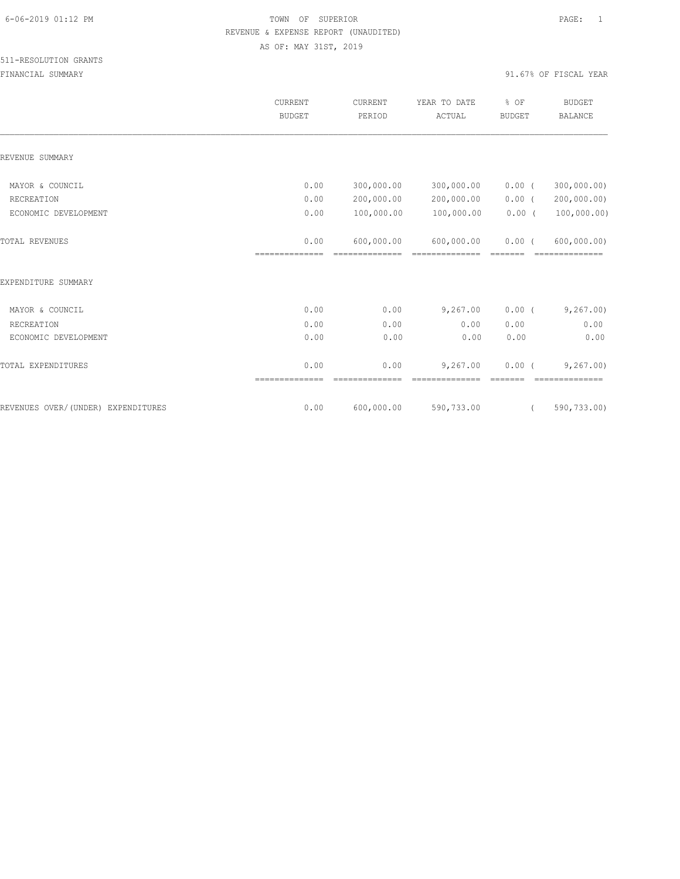#### 511-RESOLUTION GRANTS

|                                    | <b>CURRENT</b><br><b>BUDGET</b> | <b>CURRENT</b><br>PERIOD | YEAR TO DATE<br>ACTUAL       | % OF<br><b>BUDGET</b> | <b>BUDGET</b><br><b>BALANCE</b> |
|------------------------------------|---------------------------------|--------------------------|------------------------------|-----------------------|---------------------------------|
| REVENUE SUMMARY                    |                                 |                          |                              |                       |                                 |
| MAYOR & COUNCIL                    | 0.00                            | 300,000.00               | 300,000.00                   | $0.00$ (              | 300,000.00)                     |
| RECREATION                         | 0.00                            | 200,000.00               | 200,000.00                   | $0.00$ (              | 200,000.00)                     |
| ECONOMIC DEVELOPMENT               | 0.00                            | 100,000.00               | 100,000.00                   | 0.00(                 | 100,000.00)                     |
| <b>TOTAL REVENUES</b>              | 0.00<br>==============          | 600,000.00               | 600,000.00<br>-------------- | $0.00$ (<br>--------  | 600,000.00)                     |
| EXPENDITURE SUMMARY                |                                 |                          |                              |                       |                                 |
| MAYOR & COUNCIL                    | 0.00                            | 0.00                     | 9,267.00                     | $0.00$ (              | 9,267.00                        |
| RECREATION                         | 0.00                            | 0.00                     | 0.00                         | 0.00                  | 0.00                            |
| ECONOMIC DEVELOPMENT               | 0.00                            | 0.00                     | 0.00                         | 0.00                  | 0.00                            |
| TOTAL EXPENDITURES                 | 0.00<br>==============          | 0.00<br>--------------   | 9,267.00<br>==============   | $0.00$ (<br>--------  | 9, 267, 00<br>==============    |
| REVENUES OVER/(UNDER) EXPENDITURES | 0.00                            | 600,000.00               | 590,733.00                   | $\left($              | 590,733.00)                     |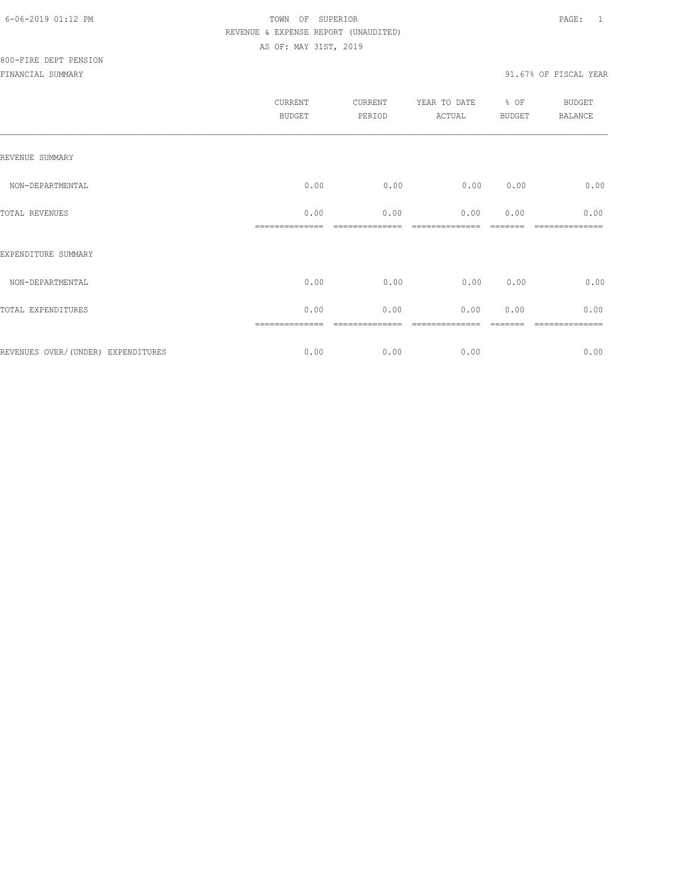|                                    | CURRENT<br><b>BUDGET</b> | CURRENT<br>PERIOD | YEAR TO DATE<br>ACTUAL | % OF<br>BUDGET | <b>BUDGET</b><br><b>BALANCE</b> |
|------------------------------------|--------------------------|-------------------|------------------------|----------------|---------------------------------|
| REVENUE SUMMARY                    |                          |                   |                        |                |                                 |
| NON-DEPARTMENTAL                   | 0.00                     | 0.00              | 0.00                   | 0.00           | 0.00                            |
| TOTAL REVENUES                     | 0.00                     | 0.00              | 0.00                   | 0.00           | 0.00                            |
| EXPENDITURE SUMMARY                |                          |                   |                        |                |                                 |
| NON-DEPARTMENTAL                   | 0.00                     | 0.00              | 0.00                   | 0.00           | 0.00                            |
| TOTAL EXPENDITURES                 | 0.00                     | 0.00              | 0.00                   | 0.00           | 0.00                            |
|                                    |                          |                   |                        |                |                                 |
| REVENUES OVER/(UNDER) EXPENDITURES | 0.00                     | 0.00              | 0.00                   |                | 0.00                            |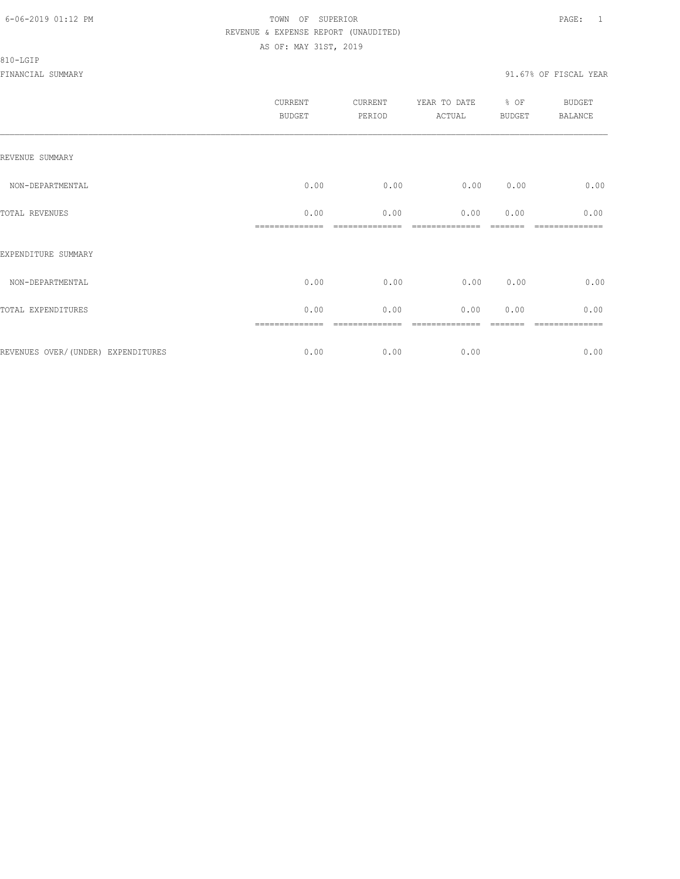#### 810-LGIP

|                                     | CURRENT<br><b>BUDGET</b> | CURRENT<br>PERIOD | YEAR TO DATE<br>ACTUAL | % OF<br>BUDGET | <b>BUDGET</b><br>BALANCE |
|-------------------------------------|--------------------------|-------------------|------------------------|----------------|--------------------------|
| REVENUE SUMMARY                     |                          |                   |                        |                |                          |
| NON-DEPARTMENTAL                    | 0.00                     | 0.00              | 0.00                   | 0.00           | 0.00                     |
| TOTAL REVENUES                      | 0.00                     | 0.00              | 0.00                   | 0.00           | 0.00                     |
| EXPENDITURE SUMMARY                 |                          |                   |                        |                |                          |
| NON-DEPARTMENTAL                    | 0.00                     | 0.00              | 0.00                   | 0.00           | 0.00                     |
| TOTAL EXPENDITURES                  | 0.00                     | 0.00              | 0.00                   | 0.00           | 0.00                     |
| REVENUES OVER/ (UNDER) EXPENDITURES | ==============<br>0.00   | 0.00              | 0.00                   |                | -----------<br>0.00      |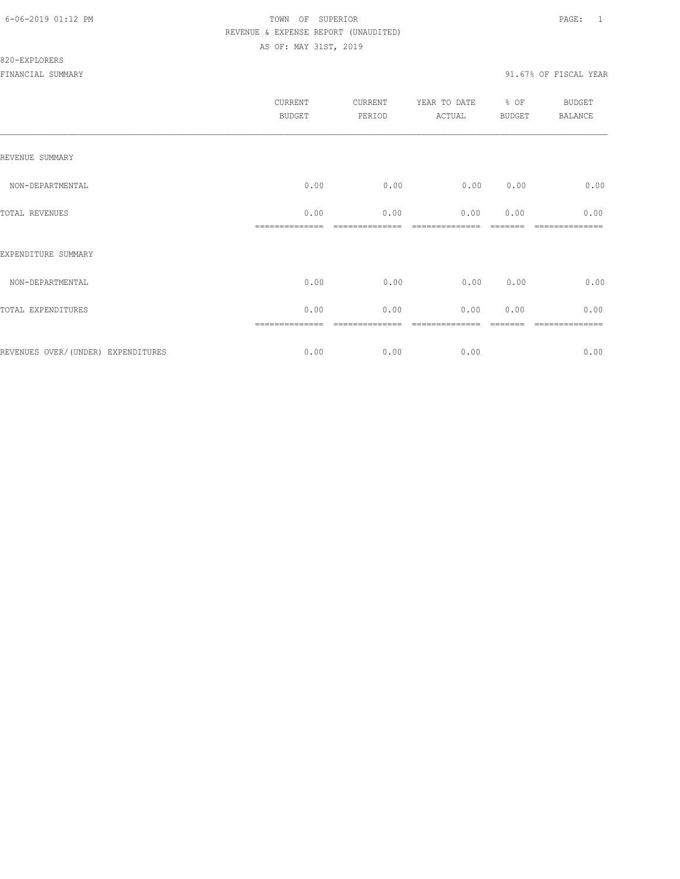#### 820-EXPLORERS

|                                     | <b>CURRENT</b><br><b>BUDGET</b> | CURRENT<br>PERIOD | YEAR TO DATE<br>ACTUAL | % OF<br><b>BUDGET</b> | <b>BUDGET</b><br><b>BALANCE</b> |
|-------------------------------------|---------------------------------|-------------------|------------------------|-----------------------|---------------------------------|
| REVENUE SUMMARY                     |                                 |                   |                        |                       |                                 |
| NON-DEPARTMENTAL                    | 0.00                            | 0.00              | 0.00                   | 0.00                  | 0.00                            |
| TOTAL REVENUES                      | 0.00                            | 0.00              | 0.00                   | 0.00                  | 0.00                            |
| EXPENDITURE SUMMARY                 |                                 |                   |                        |                       |                                 |
| NON-DEPARTMENTAL                    | 0.00                            | 0.00              | 0.00                   | 0.00                  | 0.00                            |
| TOTAL EXPENDITURES                  | 0.00                            | 0.00              | 0.00                   | 0.00                  | 0.00                            |
| REVENUES OVER/ (UNDER) EXPENDITURES | 0.00                            | 0.00              | 0.00                   |                       | ========<br>0.00                |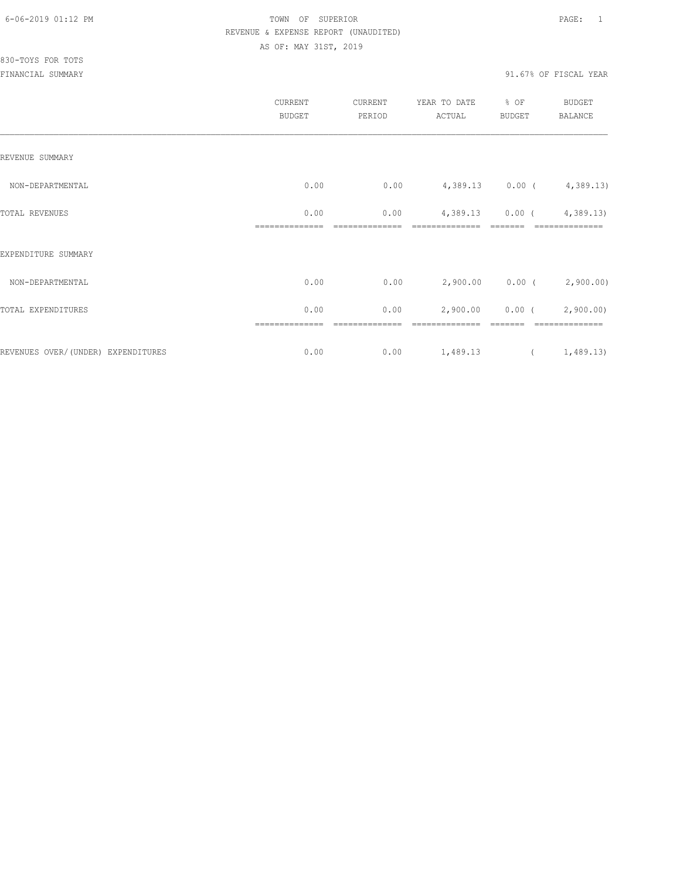|                                    | CURRENT<br><b>BUDGET</b> | CURRENT<br>PERIOD | YEAR TO DATE<br>ACTUAL      | $\div$ OF<br>BUDGET | BUDGET<br><b>BALANCE</b>    |
|------------------------------------|--------------------------|-------------------|-----------------------------|---------------------|-----------------------------|
| REVENUE SUMMARY                    |                          |                   |                             |                     |                             |
| NON-DEPARTMENTAL                   | 0.00                     | 0.00              | $4,389.13$ 0.00 ( 4,389.13) |                     |                             |
| TOTAL REVENUES                     | 0.00                     | 0.00              | 4,389.13 0.00 (             |                     | 4,389.13)                   |
| EXPENDITURE SUMMARY                |                          |                   |                             |                     |                             |
| NON-DEPARTMENTAL                   | 0.00                     | 0.00              |                             |                     | $2,900.00$ 0.00 ( 2,900.00) |
| TOTAL EXPENDITURES                 | 0.00                     | 0.00              |                             |                     | 2,900.00 0.00 (2,900.00)    |
| REVENUES OVER/(UNDER) EXPENDITURES | 0.00                     | 0.00              | 1,489.13                    |                     | (1, 489.13)                 |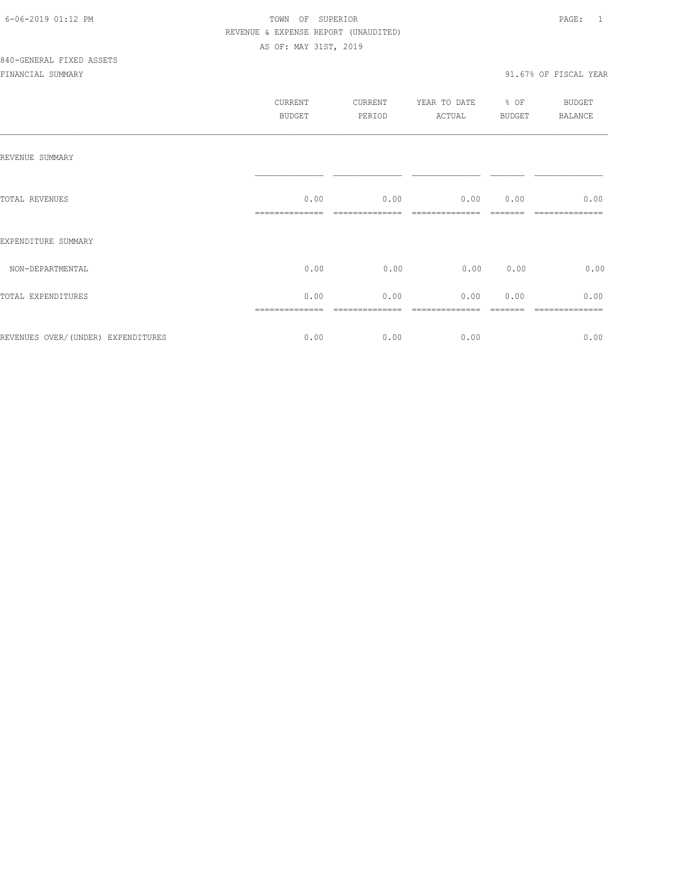|                                    | CURRENT<br><b>BUDGET</b> | CURRENT<br>PERIOD | YEAR TO DATE<br>ACTUAL | % OF<br><b>BUDGET</b> | <b>BUDGET</b><br>BALANCE |
|------------------------------------|--------------------------|-------------------|------------------------|-----------------------|--------------------------|
| REVENUE SUMMARY                    |                          |                   |                        |                       |                          |
| TOTAL REVENUES                     | 0.00                     | 0.00              | 0.00 0.00              |                       | 0.00                     |
| EXPENDITURE SUMMARY                |                          |                   |                        |                       |                          |
| NON-DEPARTMENTAL                   | 0.00                     | 0.00              | 0.00                   | 0.00                  | 0.00                     |
| TOTAL EXPENDITURES                 | 0.00                     | 0.00              | 0.00                   | 0.00                  | 0.00                     |
| REVENUES OVER/(UNDER) EXPENDITURES | 0.00                     | 0.00              | 0.00                   |                       | 0.00                     |